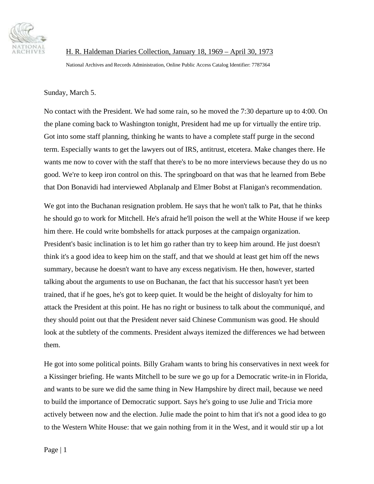

H. R. Haldeman Diaries Collection, January 18, 1969 – April 30, 1973

National Archives and Records Administration, Online Public Access Catalog Identifier: 7787364

## Sunday, March 5.

No contact with the President. We had some rain, so he moved the 7:30 departure up to 4:00. On the plane coming back to Washington tonight, President had me up for virtually the entire trip. Got into some staff planning, thinking he wants to have a complete staff purge in the second term. Especially wants to get the lawyers out of IRS, antitrust, etcetera. Make changes there. He wants me now to cover with the staff that there's to be no more interviews because they do us no good. We're to keep iron control on this. The springboard on that was that he learned from Bebe that Don Bonavidi had interviewed Abplanalp and Elmer Bobst at Flanigan's recommendation.

We got into the Buchanan resignation problem. He says that he won't talk to Pat, that he thinks he should go to work for Mitchell. He's afraid he'll poison the well at the White House if we keep him there. He could write bombshells for attack purposes at the campaign organization. President's basic inclination is to let him go rather than try to keep him around. He just doesn't think it's a good idea to keep him on the staff, and that we should at least get him off the news summary, because he doesn't want to have any excess negativism. He then, however, started talking about the arguments to use on Buchanan, the fact that his successor hasn't yet been trained, that if he goes, he's got to keep quiet. It would be the height of disloyalty for him to attack the President at this point. He has no right or business to talk about the communiqué, and they should point out that the President never said Chinese Communism was good. He should look at the subtlety of the comments. President always itemized the differences we had between them.

He got into some political points. Billy Graham wants to bring his conservatives in next week for a Kissinger briefing. He wants Mitchell to be sure we go up for a Democratic write-in in Florida, and wants to be sure we did the same thing in New Hampshire by direct mail, because we need to build the importance of Democratic support. Says he's going to use Julie and Tricia more actively between now and the election. Julie made the point to him that it's not a good idea to go to the Western White House: that we gain nothing from it in the West, and it would stir up a lot